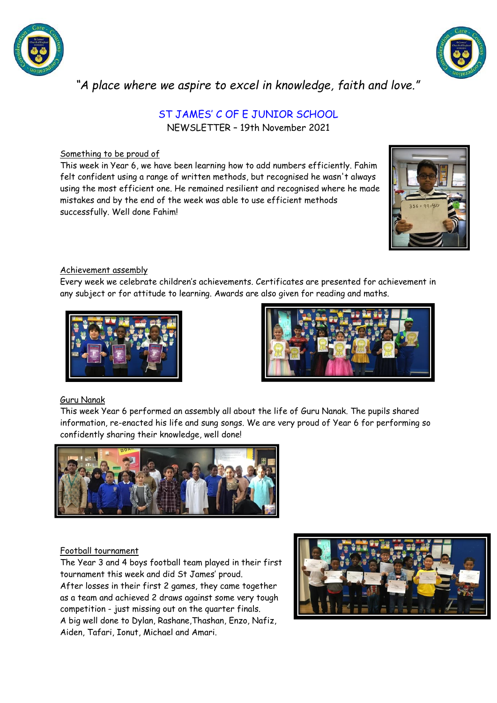



*"A place where we aspire to excel in knowledge, faith and love."*

# ST JAMES' C OF E JUNIOR SCHOOL NEWSLETTER – 19th November 2021

## Something to be proud of

This week in Year 6, we have been learning how to add numbers efficiently. Fahim felt confident using a range of written methods, but recognised he wasn't always using the most efficient one. He remained resilient and recognised where he made mistakes and by the end of the week was able to use efficient methods successfully. Well done Fahim!



### Achievement assembly

Every week we celebrate children's achievements. Certificates are presented for achievement in any subject or for attitude to learning. Awards are also given for reading and maths.





## Guru Nanak

This week Year 6 performed an assembly all about the life of Guru Nanak. The pupils shared information, re-enacted his life and sung songs. We are very proud of Year 6 for performing so confidently sharing their knowledge, well done!



## Football tournament

The Year 3 and 4 boys football team played in their first tournament this week and did St James' proud. After losses in their first 2 games, they came together as a team and achieved 2 draws against some very tough competition - just missing out on the quarter finals. A big well done to Dylan, Rashane,Thashan, Enzo, Nafiz, Aiden, Tafari, Ionut, Michael and Amari.